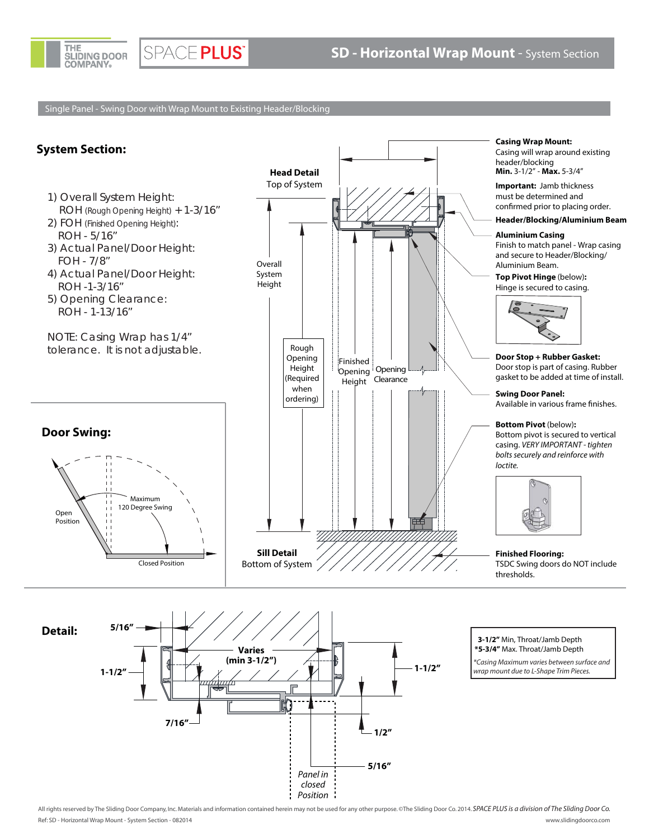

SPACE PLUS®

Single Panel - Swing Door with Wrap Mount to Existing Header/Blocking